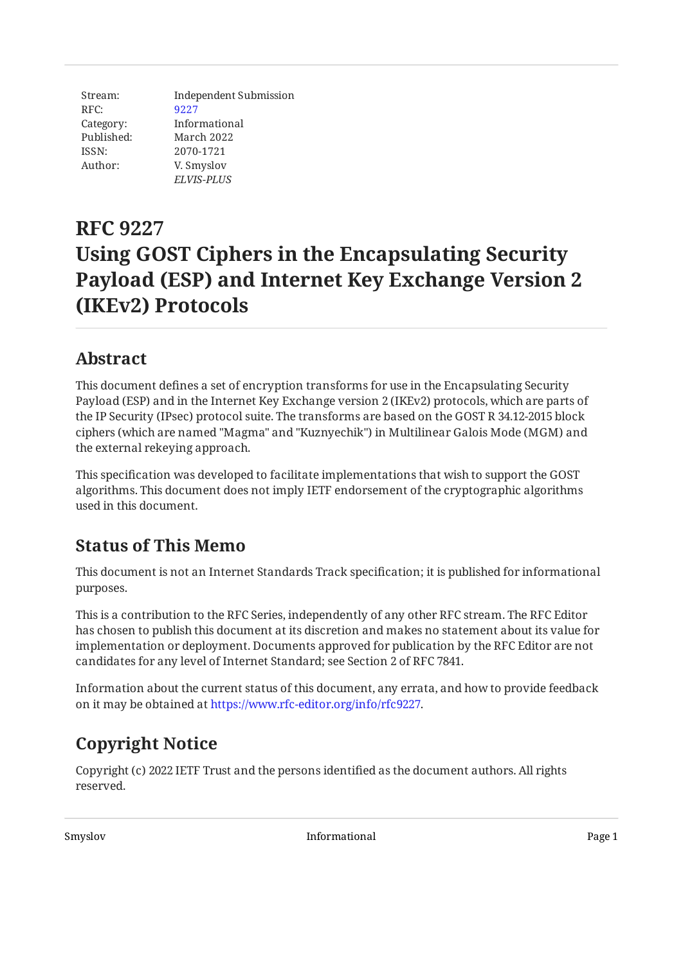Stream: RFC: Category: Published: ISSN: Author: Independent Submission [9227](https://www.rfc-editor.org/rfc/rfc9227) Informational March 2022 2070-1721 V. Smyslov *ELVIS-PLUS*

# **RFC 9227 Using GOST Ciphers in the Encapsulating Security Payload (ESP) and Internet Key Exchange Version 2 (IKEv2) Protocols**

## <span id="page-0-0"></span>**[Abstract](#page-0-0)**

This document defines a set of encryption transforms for use in the Encapsulating Security Payload (ESP) and in the Internet Key Exchange version 2 (IKEv2) protocols, which are parts of the IP Security (IPsec) protocol suite. The transforms are based on the GOST R 34.12-2015 block ciphers (which are named "Magma" and "Kuznyechik") in Multilinear Galois Mode (MGM) and the external rekeying approach.

This specification was developed to facilitate implementations that wish to support the GOST algorithms. This document does not imply IETF endorsement of the cryptographic algorithms used in this document.

## <span id="page-0-1"></span>**[Status of This Memo](#page-0-1)**

This document is not an Internet Standards Track specification; it is published for informational purposes.

This is a contribution to the RFC Series, independently of any other RFC stream. The RFC Editor has chosen to publish this document at its discretion and makes no statement about its value for implementation or deployment. Documents approved for publication by the RFC Editor are not candidates for any level of Internet Standard; see Section 2 of RFC 7841.

Information about the current status of this document, any errata, and how to provide feedback on it may be obtained at [https://www.rfc-editor.org/info/rfc9227.](https://www.rfc-editor.org/info/rfc9227)

# <span id="page-0-2"></span>**[Copyright Notice](#page-0-2)**

Copyright (c) 2022 IETF Trust and the persons identified as the document authors. All rights reserved.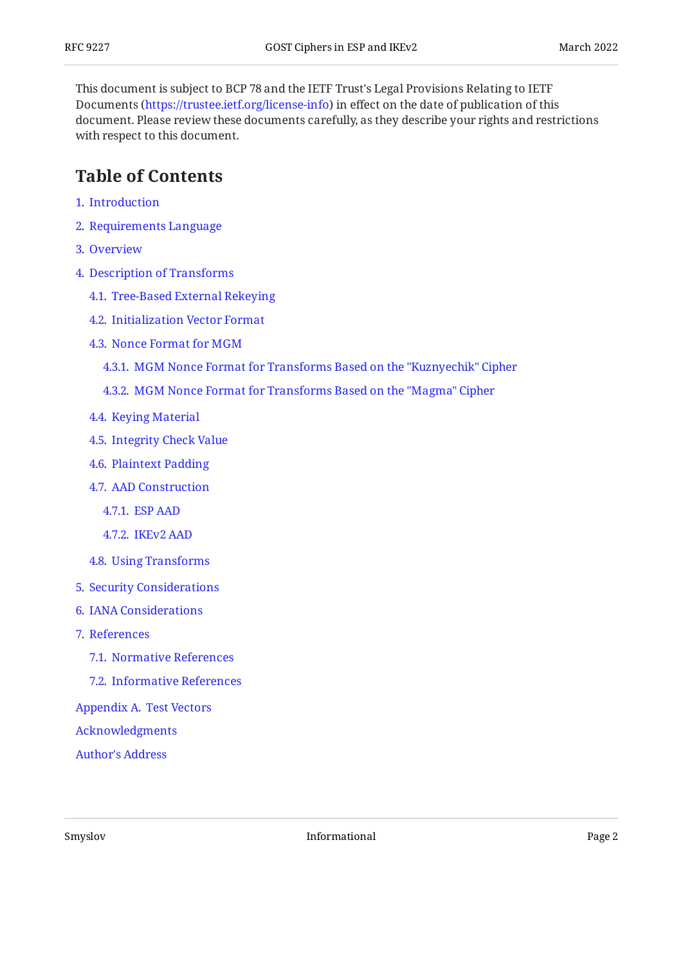This document is subject to BCP 78 and the IETF Trust's Legal Provisions Relating to IETF Documents (<https://trustee.ietf.org/license-info>) in effect on the date of publication of this document. Please review these documents carefully, as they describe your rights and restrictions with respect to this document.

### <span id="page-1-0"></span>**[Table of Contents](#page-1-0)**

- [1](#page-2-0). [Introduction](#page-2-0)
- [2](#page-2-1). [Requirements Language](#page-2-1)
- [3](#page-2-2). [Overview](#page-2-2)
- [4](#page-3-0). [Description of Transforms](#page-3-0)
	- [4.1.](#page-3-1) [Tree-Based External Rekeying](#page-3-1)
	- [4.2.](#page-4-0) [Initialization Vector Format](#page-4-0)
	- [4.3.](#page-5-0) [Nonce Format for MGM](#page-5-0)
		- [4.3.1](#page-5-1). [MGM Nonce Format for Transforms Based on the "Kuznyechik" Cipher](#page-5-1)
		- [4.3.2](#page-6-0). [MGM Nonce Format for Transforms Based on the "Magma" Cipher](#page-6-0)
	- [4.4.](#page-6-1) [Keying Material](#page-6-1)
	- [4.5.](#page-7-0) [Integrity Check Value](#page-7-0)
	- [4.6.](#page-7-1) [Plaintext Padding](#page-7-1)
	- [4.7.](#page-7-2) [AAD Construction](#page-7-2)
		- [4.7.1](#page-7-3). [ESP AAD](#page-7-3)
		- [4.7.2](#page-9-0). [IKEv2 AAD](#page-9-0)
	- [4.8.](#page-9-1) [Using Transforms](#page-9-1)
- [5](#page-10-0). [Security Considerations](#page-10-0)
- [6](#page-11-0). [IANA Considerations](#page-11-0)
- [7](#page-11-1). [References](#page-11-1)
	- [7.1.](#page-11-2) [Normative References](#page-11-2)
	- [7.2.](#page-12-0) [Informative References](#page-12-0)
- [Appendix A.](#page-13-0) [Test Vectors](#page-13-0)

[Acknowledgments](#page-21-0)

[Author's Address](#page-21-1)

Smyslov Bage 2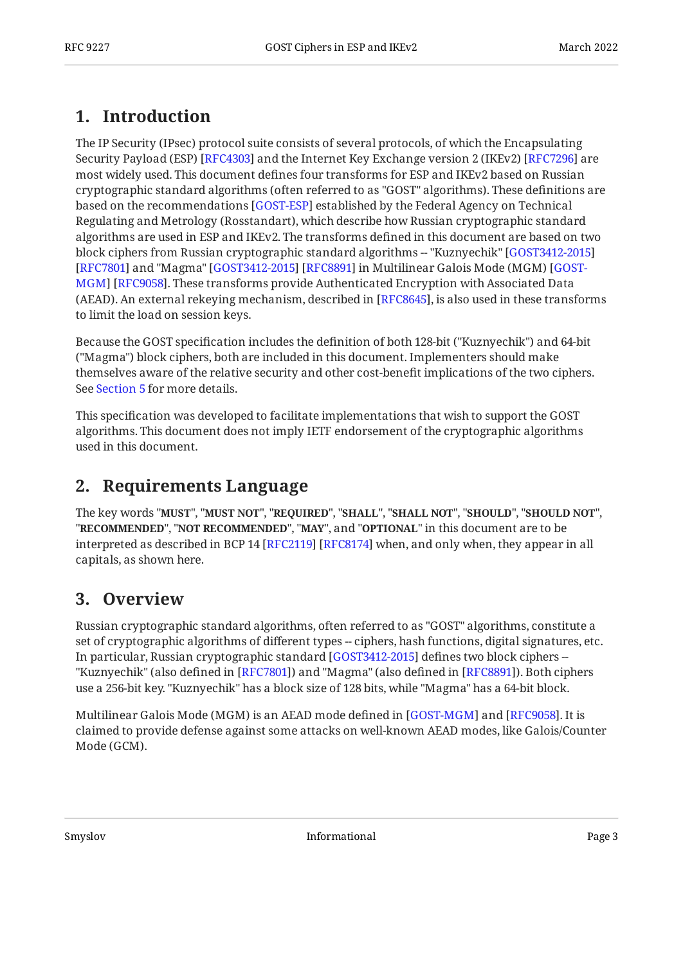## <span id="page-2-0"></span>**[1. Introduction](#page-2-0)**

The IP Security (IPsec) protocol suite consists of several protocols, of which the Encapsulating Security Payload (ESP) [RFC4303] and the Internet Key Exchange version 2 (IKEv2) [RFC7296] are most widely used. This document defines four transforms for ESP and IKEv2 based on Russian cryptographic standard algorithms (often referred to as "GOST" algorithms). These definitions are based on the recommendations [GOST-ESP] established by the Federal Agency on Technical Regulating and Metrology (Rosstandart), which describe how Russian cryptographic standard algorithms are used in ESP and IKEv2. The transforms defined in this document are based on two block ciphers from Russian cryptographic standard algorithms -- "Kuznyechik" [[GOST3412-2015](#page-12-3)] [[RFC7801\]](#page-12-4) and "Magma" [GOST3412-2015] [RFC8891] in Multilinear Galois Mode (MGM) [[GOST-](#page-12-6)[MGM\]](#page-12-6) [RFC9058]. These transforms provide Authenticated Encryption with Associated Data (AEAD). An external rekeying mechanism, described in [RFC8645], is also used in these transforms to limit the load on session keys.

Because the GOST specification includes the definition of both 128-bit ("Kuznyechik") and 64-bit ("Magma") block ciphers, both are included in this document. Implementers should make themselves aware of the relative security and other cost-benefit implications of the two ciphers. See [Section 5](#page-10-0) for more details.

This specification was developed to facilitate implementations that wish to support the GOST algorithms. This document does not imply IETF endorsement of the cryptographic algorithms used in this document.

### <span id="page-2-1"></span>**[2. Requirements Language](#page-2-1)**

The key words "MUST", "MUST NOT", "REQUIRED", "SHALL", "SHALL NOT", "SHOULD", "SHOULD NOT", "**RECOMMENDED", "NOT RECOMMENDED", "MAY",** and "OPTIONAL" in this document are to be interpreted as described in BCP 14 [RFC2119] [RFC8174] when, and only when, they appear in all capitals, as shown here.

### <span id="page-2-2"></span>**[3. Overview](#page-2-2)**

Russian cryptographic standard algorithms, often referred to as "GOST" algorithms, constitute a set of cryptographic algorithms of different types -- ciphers, hash functions, digital signatures, etc. In particular, Russian cryptographic standard [\[GOST3412-2015](#page-12-3)] defines two block ciphers --"Kuznyechik" (also defined in [[RFC7801\]](#page-12-4)) and "Magma" (also defined in [RFC8891]). Both ciphers use a 256-bit key. "Kuznyechik" has a block size of 128 bits, while "Magma" has a 64-bit block.

Multilinear Galois Mode (MGM) is an AEAD mode defined in [[GOST-MGM\]](#page-12-6) and [[RFC9058\]](#page-12-7). It is claimed to provide defense against some attacks on well-known AEAD modes, like Galois/Counter Mode (GCM).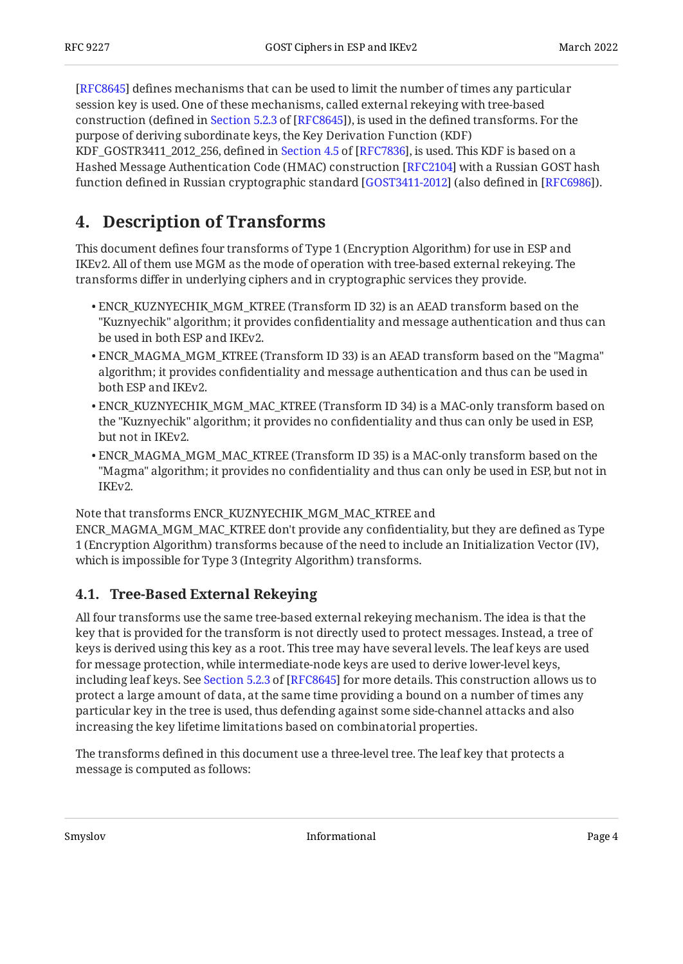[[RFC8645\]](#page-13-1) defines mechanisms that can be used to limit the number of times any particular session key is used. One of these mechanisms, called external rekeying with tree-based construction(defined in Section 5.2.3 of [RFC8645]), is used in the defined transforms. For the purpose of deriving subordinate keys, the Key Derivation Function (KDF) KDF\_GOSTR3411\_2012\_256,defined in Section 4.5 of [RFC7836], is used. This KDF is based on a Hashed Message Authentication Code (HMAC) construction [RFC2104] with a Russian GOST hash function defined in Russian cryptographic standard [GOST3411-2012] (also defined in [RFC6986]).

## <span id="page-3-0"></span>**[4. Description of Transforms](#page-3-0)**

This document defines four transforms of Type 1 (Encryption Algorithm) for use in ESP and IKEv2. All of them use MGM as the mode of operation with tree-based external rekeying. The transforms differ in underlying ciphers and in cryptographic services they provide.

- ENCR\_KUZNYECHIK\_MGM\_KTREE (Transform ID 32) is an AEAD transform based on the "Kuznyechik" algorithm; it provides confidentiality and message authentication and thus can be used in both ESP and IKEv2.
- ENCR\_MAGMA\_MGM\_KTREE (Transform ID 33) is an AEAD transform based on the "Magma" algorithm; it provides confidentiality and message authentication and thus can be used in both ESP and IKEv2.
- ENCR\_KUZNYECHIK\_MGM\_MAC\_KTREE (Transform ID 34) is a MAC-only transform based on the "Kuznyechik" algorithm; it provides no confidentiality and thus can only be used in ESP, but not in IKEv2.
- ENCR\_MAGMA\_MGM\_MAC\_KTREE (Transform ID 35) is a MAC-only transform based on the "Magma" algorithm; it provides no confidentiality and thus can only be used in ESP, but not in IKEv2.

Note that transforms ENCR\_KUZNYECHIK\_MGM\_MAC\_KTREE and

ENCR\_MAGMA\_MGM\_MAC\_KTREE don't provide any confidentiality, but they are defined as Type 1 (Encryption Algorithm) transforms because of the need to include an Initialization Vector (IV), which is impossible for Type 3 (Integrity Algorithm) transforms.

#### <span id="page-3-1"></span>**[4.1. Tree-Based External Rekeying](#page-3-1)**

All four transforms use the same tree-based external rekeying mechanism. The idea is that the key that is provided for the transform is not directly used to protect messages. Instead, a tree of keys is derived using this key as a root. This tree may have several levels. The leaf keys are used for message protection, while intermediate-node keys are used to derive lower-level keys, includingleaf keys. See Section 5.2.3 of [RFC8645] for more details. This construction allows us to protect a large amount of data, at the same time providing a bound on a number of times any particular key in the tree is used, thus defending against some side-channel attacks and also increasing the key lifetime limitations based on combinatorial properties.

The transforms defined in this document use a three-level tree. The leaf key that protects a message is computed as follows: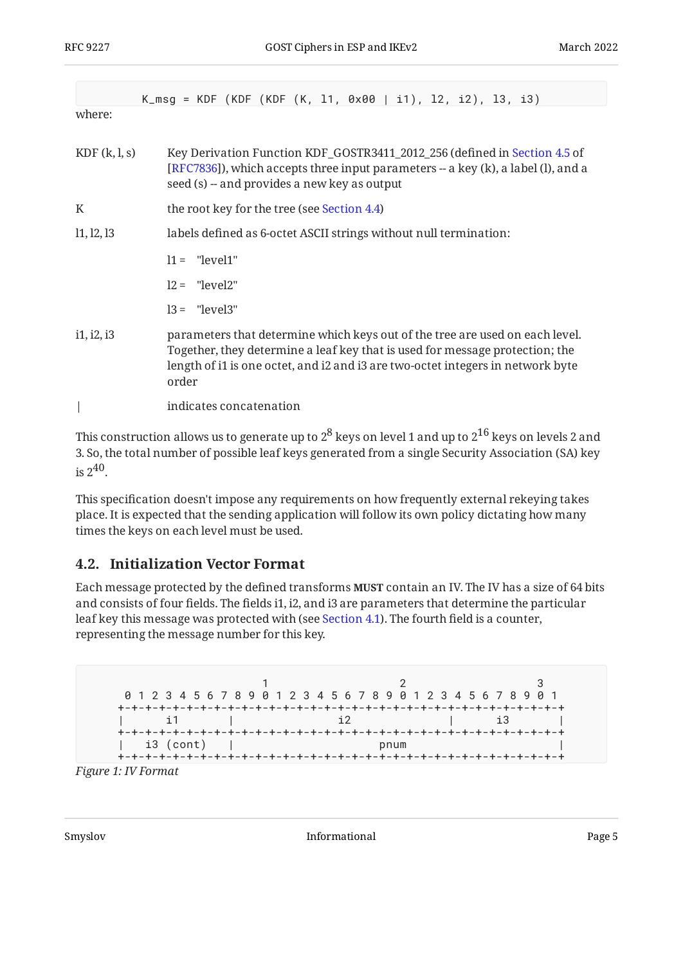|              | K_msg = KDF (KDF (KDF (K, 11, 0x00   i1), 12, i2), 13, i3)                                                                                                                                                                                               |  |  |
|--------------|----------------------------------------------------------------------------------------------------------------------------------------------------------------------------------------------------------------------------------------------------------|--|--|
| where:       |                                                                                                                                                                                                                                                          |  |  |
| KDF(k, l, s) | Key Derivation Function KDF_GOSTR3411_2012_256 (defined in Section 4.5 of<br>[RFC7836]), which accepts three input parameters -- a key (k), a label (l), and a<br>seed (s) -- and provides a new key as output                                           |  |  |
| K            | the root key for the tree (see Section 4.4)                                                                                                                                                                                                              |  |  |
| 11, 12, 13   | labels defined as 6-octet ASCII strings without null termination:                                                                                                                                                                                        |  |  |
|              | $11 =$ "level1"                                                                                                                                                                                                                                          |  |  |
|              | $12 =$ "level2"                                                                                                                                                                                                                                          |  |  |
|              | $13 =$ "level3"                                                                                                                                                                                                                                          |  |  |
| i1, i2, i3   | parameters that determine which keys out of the tree are used on each level.<br>Together, they determine a leaf key that is used for message protection; the<br>length of i1 is one octet, and i2 and i3 are two-octet integers in network byte<br>order |  |  |
|              | indicates concatenation                                                                                                                                                                                                                                  |  |  |

This construction allows us to generate up to  $2^8$  keys on level 1 and up to  $2^{16}$  keys on levels 2 and 3. So, the total number of possible leaf keys generated from a single Security Association (SA) key is  $2^{40}$ .

This specification doesn't impose any requirements on how frequently external rekeying takes place. It is expected that the sending application will follow its own policy dictating how many times the keys on each level must be used.

#### <span id="page-4-0"></span>**[4.2. Initialization Vector Format](#page-4-0)**

Each message protected by the defined transforms **MUST** contain an IV. The IV has a size of 64 bits and consists of four fields. The fields i1, i2, and i3 are parameters that determine the particular leaf key this message was protected with (see [Section 4.1](#page-3-1)). The fourth field is a counter, representing the message number for this key.

<span id="page-4-1"></span>

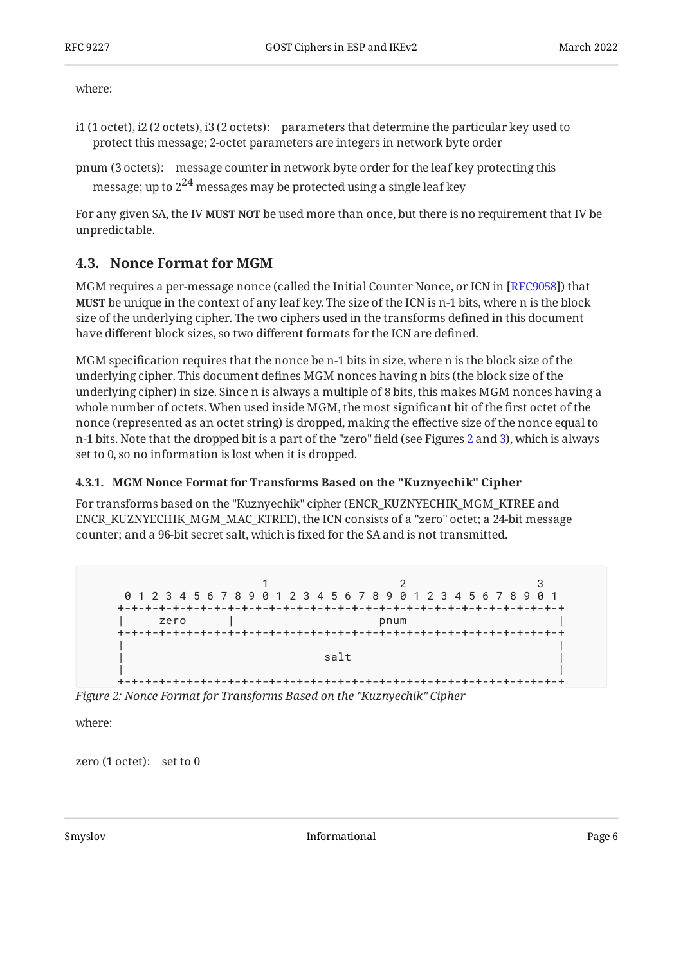where:

i1 (1 octet), i2 (2 octets), i3 (2 octets): parameters that determine the particular key used to protect this message; 2-octet parameters are integers in network byte order

```
pnum (3 octets):
message counter in network byte order for the leaf key protecting this
  message; up to 2^{24} messages may be protected using a single leaf key
```
For any given SA, the IV **MUST NOT** be used more than once, but there is no requirement that IV be unpredictable.

#### <span id="page-5-0"></span>**[4.3. Nonce Format for MGM](#page-5-0)**

MGM requires a per-message nonce (called the Initial Counter Nonce, or ICN in [RFC9058]) that **MUST** be unique in the context of any leaf key. The size of the ICN is n-1 bits, where n is the block size of the underlying cipher. The two ciphers used in the transforms defined in this document have different block sizes, so two different formats for the ICN are defined.

MGM specification requires that the nonce be n-1 bits in size, where n is the block size of the underlying cipher. This document defines MGM nonces having n bits (the block size of the underlying cipher) in size. Since n is always a multiple of 8 bits, this makes MGM nonces having a whole number of octets. When used inside MGM, the most significant bit of the first octet of the nonce (represented as an octet string) is dropped, making the effective size of the nonce equal to n-1 bits. Note that the dropped bit is a part of the "zero" field (see Figures [2](#page-5-2) and [3\)](#page-6-2), which is always set to 0, so no information is lost when it is dropped.

#### <span id="page-5-1"></span>**[4.3.1. MGM Nonce Format for Transforms Based on the "Kuznyechik" Cipher](#page-5-1)**

For transforms based on the "Kuznyechik" cipher (ENCR\_KUZNYECHIK\_MGM\_KTREE and ENCR\_KUZNYECHIK\_MGM\_MAC\_KTREE), the ICN consists of a "zero" octet; a 24-bit message counter; and a 96-bit secret salt, which is fixed for the SA and is not transmitted.

<span id="page-5-2"></span>

*[Figure 2: Nonce Format for Transforms Based on the "Kuznyechik" Cipher](#page-5-2)* 

where:

zero (1 octet): set to 0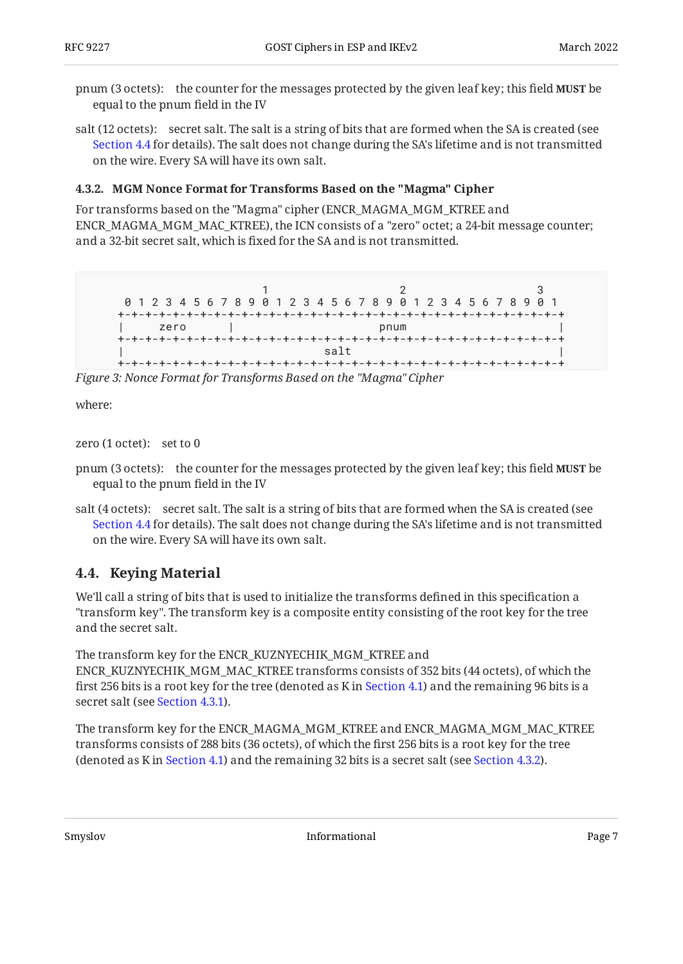pnum (3 octets): the counter for the messages protected by the given leaf key; this field **MUST** be equal to the pnum field in the IV

salt (12 octets): secret salt. The salt is a string of bits that are formed when the SA is created (see [Section 4.4](#page-6-1) for details). The salt does not change during the SA's lifetime and is not transmitted on the wire. Every SA will have its own salt.

#### <span id="page-6-0"></span>**[4.3.2. MGM Nonce Format for Transforms Based on the "Magma" Cipher](#page-6-0)**

For transforms based on the "Magma" cipher (ENCR\_MAGMA\_MGM\_KTREE and ENCR\_MAGMA\_MGM\_MAC\_KTREE), the ICN consists of a "zero" octet; a 24-bit message counter; and a 32-bit secret salt, which is fixed for the SA and is not transmitted.

```
1 2 3
 0 1 2 3 4 5 6 7 8 9 0 1 2 3 4 5 6 7 8 9 0 1 2 3 4 5 6 7 8 9 0 1
+-+-+-+-+-+-+-+-+-+-+-+-+-+-+-+-+-+-+-+-+-+-+-+-+-+-+-+-+-+-+-+-+
| zero | pnum |
+-+-+-+-+-+-+-+-+-+-+-+-+-+-+-+-+-+-+-+-+-+-+-+-+-+-+-+-+-+-+-+-+
\vert salt \vert+-+-+-+-+-+-+-+-+-+-+-+-+-+-+-+-+-+-+-+-+-+-+-+-+-+-+-+-+-+-+-+-+
```
*[Figure 3: Nonce Format for Transforms Based on the "Magma" Cipher](#page-6-2)* 

where:

zero (1 octet): set to 0

- pnum (3 octets): the counter for the messages protected by the given leaf key; this field **MUST** be equal to the pnum field in the IV
- salt (4 octets): secret salt. The salt is a string of bits that are formed when the SA is created (see [Section 4.4](#page-6-1) for details). The salt does not change during the SA's lifetime and is not transmitted on the wire. Every SA will have its own salt.

### <span id="page-6-1"></span>**[4.4. Keying Material](#page-6-1)**

We'll call a string of bits that is used to initialize the transforms defined in this specification a "transform key". The transform key is a composite entity consisting of the root key for the tree and the secret salt.

The transform key for the ENCR\_KUZNYECHIK\_MGM\_KTREE and ENCR\_KUZNYECHIK\_MGM\_MAC\_KTREE transforms consists of 352 bits (44 octets), of which the first 256 bits is a root key for the tree (denoted as K in [Section 4.1\)](#page-3-1) and the remaining 96 bits is a secret salt (see [Section 4.3.1\)](#page-5-1).

The transform key for the ENCR\_MAGMA\_MGM\_KTREE and ENCR\_MAGMA\_MGM\_MAC\_KTREE transforms consists of 288 bits (36 octets), of which the first 256 bits is a root key for the tree (denoted as K in [Section 4.1\)](#page-3-1) and the remaining 32 bits is a secret salt (see [Section 4.3.2\)](#page-6-0).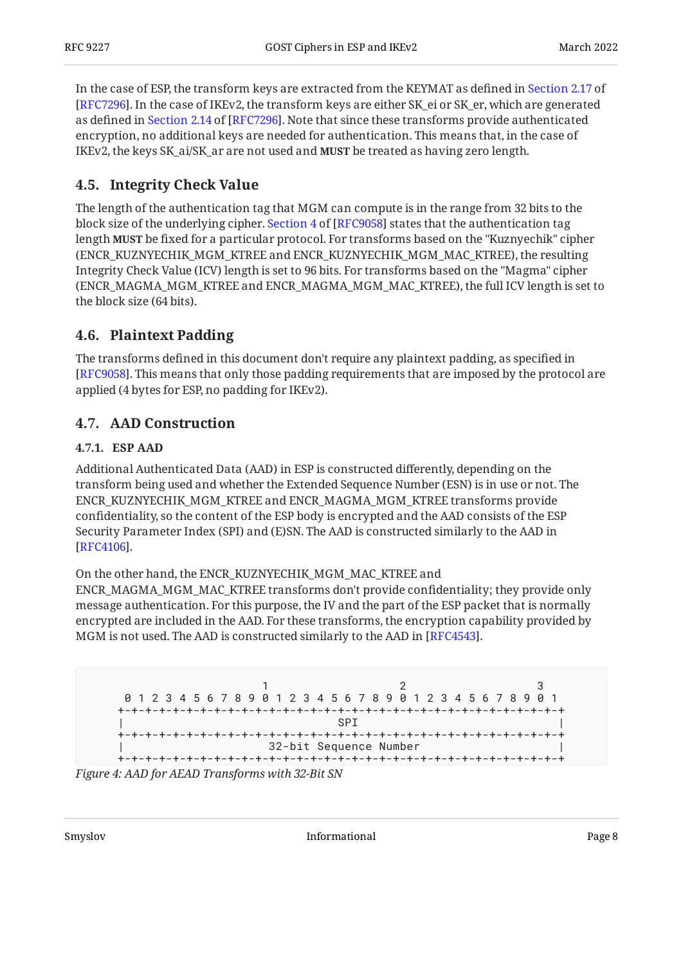In the case of ESP, the transform keys are extracted from the KEYMAT as defined in [Section 2.17](https://www.rfc-editor.org/rfc/rfc7296#section-2.17) of [[RFC7296\]](#page-12-1). In the case of IKEv2, the transform keys are either SK\_ei or SK\_er, which are generated asdefined in Section 2.14 of [RFC7296]. Note that since these transforms provide authenticated encryption, no additional keys are needed for authentication. This means that, in the case of IKEv2, the keys SK\_ai/SK\_ar are not used and **MUST** be treated as having zero length.

### <span id="page-7-0"></span>**[4.5. Integrity Check Value](#page-7-0)**

The length of the authentication tag that MGM can compute is in the range from 32 bits to the blocksize of the underlying cipher. Section 4 of [RFC9058] states that the authentication tag length **MUST** be fixed for a particular protocol. For transforms based on the "Kuznyechik" cipher (ENCR\_KUZNYECHIK\_MGM\_KTREE and ENCR\_KUZNYECHIK\_MGM\_MAC\_KTREE), the resulting Integrity Check Value (ICV) length is set to 96 bits. For transforms based on the "Magma" cipher (ENCR\_MAGMA\_MGM\_KTREE and ENCR\_MAGMA\_MGM\_MAC\_KTREE), the full ICV length is set to the block size (64 bits).

#### <span id="page-7-1"></span>**[4.6. Plaintext Padding](#page-7-1)**

The transforms defined in this document don't require any plaintext padding, as specified in [[RFC9058\]](#page-12-7). This means that only those padding requirements that are imposed by the protocol are applied (4 bytes for ESP, no padding for IKEv2).

### <span id="page-7-3"></span><span id="page-7-2"></span>**[4.7. AAD Construction](#page-7-2)**

#### **[4.7.1. ESP AAD](#page-7-3)**

Additional Authenticated Data (AAD) in ESP is constructed differently, depending on the transform being used and whether the Extended Sequence Number (ESN) is in use or not. The ENCR\_KUZNYECHIK\_MGM\_KTREE and ENCR\_MAGMA\_MGM\_KTREE transforms provide confidentiality, so the content of the ESP body is encrypted and the AAD consists of the ESP Security Parameter Index (SPI) and (E)SN. The AAD is constructed similarly to the AAD in . [[RFC4106\]](#page-13-2)

On the other hand, the ENCR\_KUZNYECHIK\_MGM\_MAC\_KTREE and ENCR\_MAGMA\_MGM\_MAC\_KTREE transforms don't provide confidentiality; they provide only message authentication. For this purpose, the IV and the part of the ESP packet that is normally encrypted are included in the AAD. For these transforms, the encryption capability provided by MGM is not used. The AAD is constructed similarly to the AAD in [RFC4543].

```
1 2 3
 0 1 2 3 4 5 6 7 8 9 0 1 2 3 4 5 6 7 8 9 0 1 2 3 4 5 6 7 8 9 0 1
+-+-+-+-+-+-+-+-+-+-+-+-+-+-+-+-+-+-+-+-+-+-+-+-+-+-+-+-+-+-+-+-+
| SPI |
+-+-+-+-+-+-+-+-+-+-+-+-+-+-+-+-+-+-+-+-+-+-+-+-+-+-+-+-+-+-+-+-+
                32-bit Sequence Number
+-+-+-+-+-+-+-+-+-+-+-+-+-+-+-+-+-+-+-+-+-+-+-+-+-+-+-+-+-+-+-+-+
```
<span id="page-7-5"></span>*[Figure 4: AAD for AEAD Transforms with 32-Bit SN](#page-7-4)*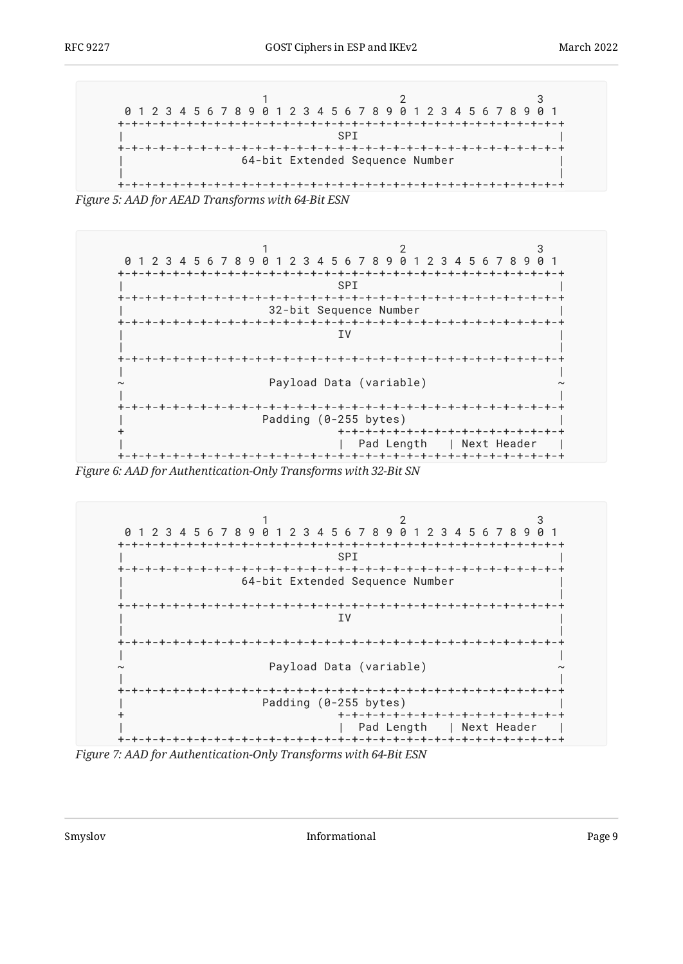```
1 2 3
 0 1 2 3 4 5 6 7 8 9 0 1 2 3 4 5 6 7 8 9 0 1 2 3 4 5 6 7 8 9 0 1
+-+-+-+-+-+-+-+-+-+-+-+-+-+-+-+-+-+-+-+-+-+-+-+-+-+-+-+-+-+-+-+-+
| SPI |
+-+-+-+-+-+-+-+-+-+-+-+-+-+-+-+-+-+-+-+-+-+-+-+-+-+-+-+-+-+-+-+-+
           64-bit Extended Sequence Number
| |
+-+-+-+-+-+-+-+-+-+-+-+-+-+-+-+-+-+-+-+-+-+-+-+-+-+-+-+-+-+-+-+-+
```
<span id="page-8-1"></span>*[Figure 5:](#page-8-0) [AAD for AEAD Transforms with 64-Bit ESN](#page-7-5)* 



*[Figure 6: AAD for Authentication-Only Transforms with 32-Bit SN](#page-8-1)* 

<span id="page-8-2"></span>

*[Figure 7: AAD for Authentication-Only Transforms with 64-Bit ESN](#page-8-2)*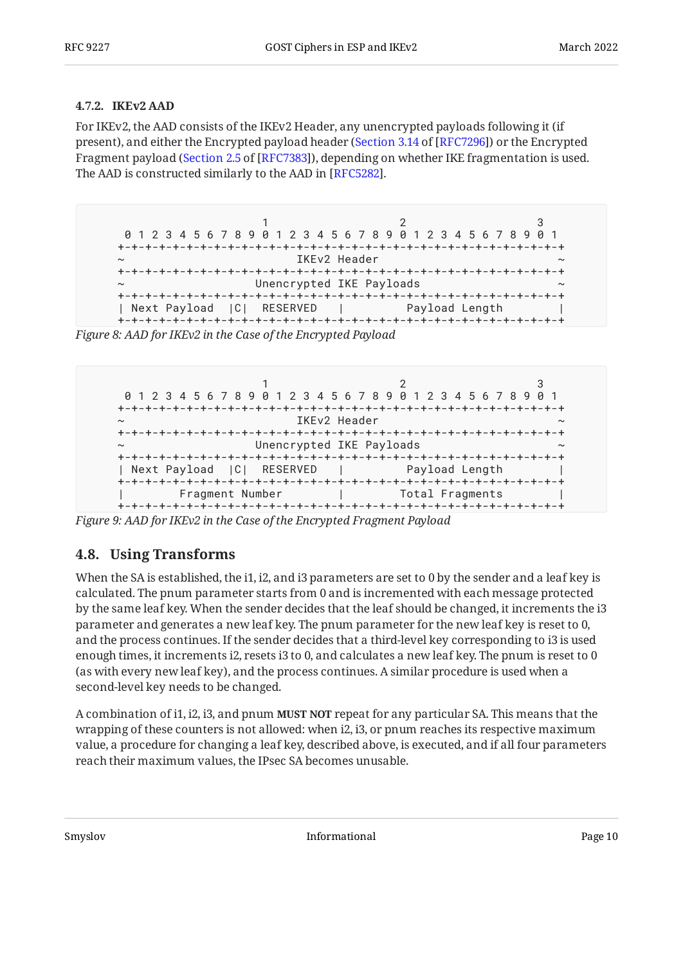#### <span id="page-9-0"></span>**[4.7.2. IKEv2 AAD](#page-9-0)**

For IKEv2, the AAD consists of the IKEv2 Header, any unencrypted payloads following it (if present), and either the Encrypted payload header ([Section 3.14](https://www.rfc-editor.org/rfc/rfc7296#section-3.14) of [\[RFC7296\]](#page-12-1)) or the Encrypted Fragment payload ([Section 2.5](https://www.rfc-editor.org/rfc/rfc7383#section-2.5) of [[RFC7383\]](#page-12-12)), depending on whether IKE fragmentation is used. The AAD is constructed similarly to the AAD in [RFC5282].

<span id="page-9-2"></span>**1** 2 3 0 1 2 3 4 5 6 7 8 9 0 1 2 3 4 5 6 7 8 9 0 1 2 3 4 5 6 7 8 9 0 1 +-+-+-+-+-+-+-+-+-+-+-+-+-+-+-+-+-+-+-+-+-+-+-+-+-+-+-+-+-+-+-+-+ ~ IKEv2 Header ~ +-+-+-+-+-+-+-+-+-+-+-+-+-+-+-+-+-+-+-+-+-+-+-+-+-+-+-+-+-+-+-+-+ Unencrypted IKE Payloads +-+-+-+-+-+-+-+-+-+-+-+-+-+-+-+-+-+-+-+-+-+-+-+-+-+-+-+-+-+-+-+-+ | Next Payload |C| RESERVED | Payload Length | +-+-+-+-+-+-+-+-+-+-+-+-+-+-+-+-+-+-+-+-+-+-+-+-+-+-+-+-+-+-+-+-+

<span id="page-9-3"></span>*[Figure 8: AAD for IKEv2 in the Case of the Encrypted Payload](#page-9-2)* 

```
1 2 3
 0 1 2 3 4 5 6 7 8 9 0 1 2 3 4 5 6 7 8 9 0 1 2 3 4 5 6 7 8 9 0 1
+-+-+-+-+-+-+-+-+-+-+-+-+-+-+-+-+-+-+-+-+-+-+-+-+-+-+-+-+-+-+-+-+
                      ~ IKEv2 Header ~
+-+-+-+-+-+-+-+-+-+-+-+-+-+-+-+-+-+-+-+-+-+-+-+-+-+-+-+-+-+-+-+-+
                 Unencrypted IKE Payloads
+-+-+-+-+-+-+-+-+-+-+-+-+-+-+-+-+-+-+-+-+-+-+-+-+-+-+-+-+-+-+-+-+
| Next Payload |C| RESERVED | Payload Length |
+-+-+-+-+-+-+-+-+-+-+-+-+-+-+-+-+-+-+-+-+-+-+-+-+-+-+-+-+-+-+-+-+
| Fragment Number | Total Fragments |
+-+-+-+-+-+-+-+-+-+-+-+-+-+-+-+-+-+-+-+-+-+-+-+-+-+-+-+-+-+-+-+-+
```
<span id="page-9-1"></span>*[Figure 9: AAD for IKEv2 in the Case of the Encrypted Fragment Payload](#page-9-3)* 

#### **[4.8. Using Transforms](#page-9-1)**

When the SA is established, the i1, i2, and i3 parameters are set to 0 by the sender and a leaf key is calculated. The pnum parameter starts from 0 and is incremented with each message protected by the same leaf key. When the sender decides that the leaf should be changed, it increments the i3 parameter and generates a new leaf key. The pnum parameter for the new leaf key is reset to 0, and the process continues. If the sender decides that a third-level key corresponding to i3 is used enough times, it increments i2, resets i3 to 0, and calculates a new leaf key. The pnum is reset to 0 (as with every new leaf key), and the process continues. A similar procedure is used when a second-level key needs to be changed.

A combination of i1, i2, i3, and pnum **MUST NOT** repeat for any particular SA. This means that the wrapping of these counters is not allowed: when i2, i3, or pnum reaches its respective maximum value, a procedure for changing a leaf key, described above, is executed, and if all four parameters reach their maximum values, the IPsec SA becomes unusable.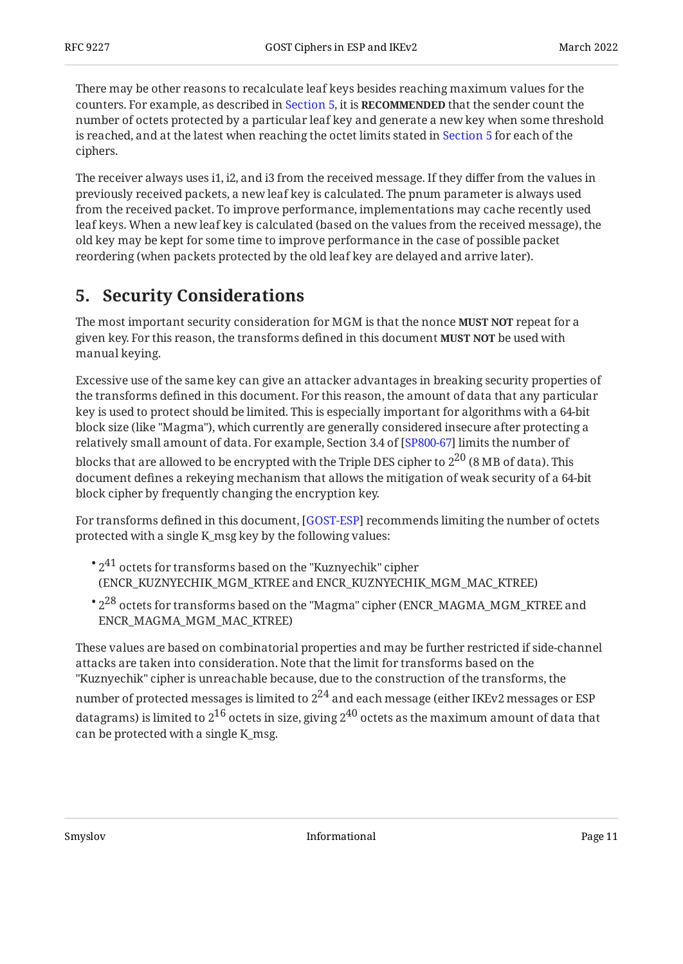There may be other reasons to recalculate leaf keys besides reaching maximum values for the counters. For example, as described in [Section 5,](#page-10-0) it is **RECOMMENDED** that the sender count the number of octets protected by a particular leaf key and generate a new key when some threshold is reached, and at the latest when reaching the octet limits stated in [Section 5](#page-10-0) for each of the ciphers.

The receiver always uses i1, i2, and i3 from the received message. If they differ from the values in previously received packets, a new leaf key is calculated. The pnum parameter is always used from the received packet. To improve performance, implementations may cache recently used leaf keys. When a new leaf key is calculated (based on the values from the received message), the old key may be kept for some time to improve performance in the case of possible packet reordering (when packets protected by the old leaf key are delayed and arrive later).

## <span id="page-10-0"></span>**[5. Security Considerations](#page-10-0)**

The most important security consideration for MGM is that the nonce **MUST NOT** repeat for a given key. For this reason, the transforms defined in this document **MUST NOT** be used with manual keying.

Excessive use of the same key can give an attacker advantages in breaking security properties of the transforms defined in this document. For this reason, the amount of data that any particular key is used to protect should be limited. This is especially important for algorithms with a 64-bit block size (like "Magma"), which currently are generally considered insecure after protecting a relatively small amount of data. For example, Section 3.4 of [SP800-67] limits the number of

blocks that are allowed to be encrypted with the Triple DES cipher to  $2^{20}$  (8 MB of data). This document defines a rekeying mechanism that allows the mitigation of weak security of a 64-bit block cipher by frequently changing the encryption key.

For transforms defined in this document, [[GOST-ESP](#page-12-2)] recommends limiting the number of octets protected with a single K\_msg key by the following values:

- $^{\bullet}$   $2^{41}$  octets for transforms based on the "Kuznyechik" cipher (ENCR\_KUZNYECHIK\_MGM\_KTREE and ENCR\_KUZNYECHIK\_MGM\_MAC\_KTREE)
- $\degree$  2 $^{28}$  octets for transforms based on the "Magma" cipher (ENCR\_MAGMA\_MGM\_KTREE and ENCR\_MAGMA\_MGM\_MAC\_KTREE)

These values are based on combinatorial properties and may be further restricted if side-channel attacks are taken into consideration. Note that the limit for transforms based on the "Kuznyechik" cipher is unreachable because, due to the construction of the transforms, the number of protected messages is limited to  $2^{24}$  and each message (either IKEv2 messages or ESP datagrams) is limited to  $2^{16}$  octets in size, giving  $2^{40}$  octets as the maximum amount of data that can be protected with a single K\_msg.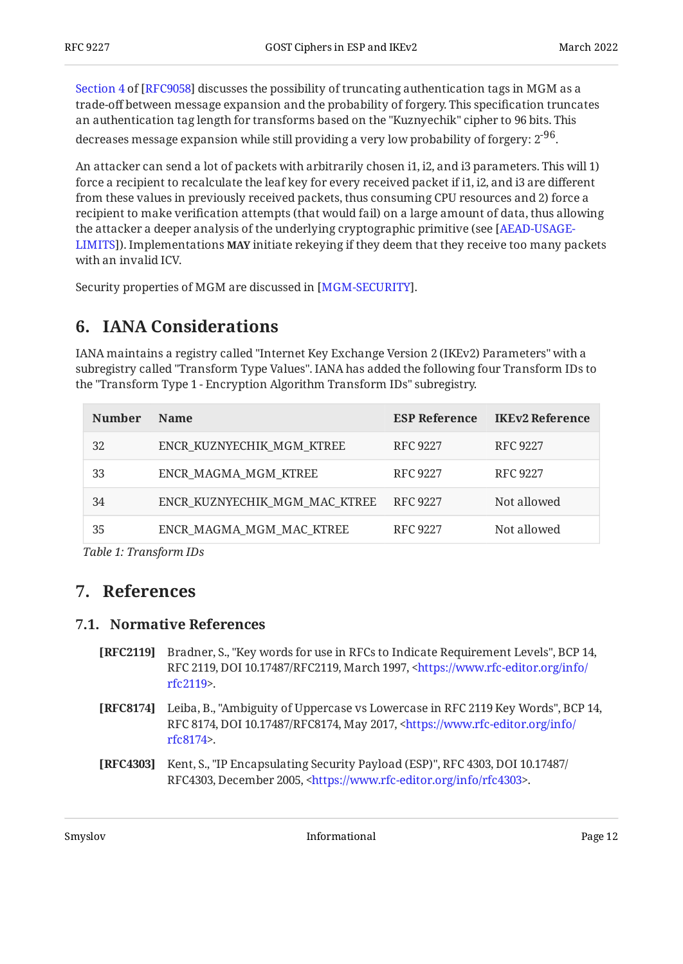[Section 4](https://www.rfc-editor.org/rfc/rfc9058#section-4) of [[RFC9058\]](#page-12-7) discusses the possibility of truncating authentication tags in MGM as a trade-off between message expansion and the probability of forgery. This specification truncates an authentication tag length for transforms based on the "Kuznyechik" cipher to 96 bits. This decreases message expansion while still providing a very low probability of forgery:  $2^{96}$ .

An attacker can send a lot of packets with arbitrarily chosen i1, i2, and i3 parameters. This will 1) force a recipient to recalculate the leaf key for every received packet if i1, i2, and i3 are different from these values in previously received packets, thus consuming CPU resources and 2) force a recipient to make verification attempts (that would fail) on a large amount of data, thus allowing the attacker a deeper analysis of the underlying cryptographic primitive (see [[AEAD-USAGE-](#page-13-6)[LIMITS](#page-13-6)]). Implementations **MAY** initiate rekeying if they deem that they receive too many packets with an invalid ICV.

<span id="page-11-0"></span>Security properties of MGM are discussed in [MGM-SECURITY].

## **[6. IANA Considerations](#page-11-0)**

IANA maintains a registry called "Internet Key Exchange Version 2 (IKEv2) Parameters" with a subregistry called "Transform Type Values". IANA has added the following four Transform IDs to the "Transform Type 1 - Encryption Algorithm Transform IDs" subregistry.

<span id="page-11-7"></span><span id="page-11-6"></span>

| <b>Number</b> | <b>Name</b>                   | <b>ESP Reference</b> | <b>IKEv2 Reference</b> |
|---------------|-------------------------------|----------------------|------------------------|
| 32            | ENCR KUZNYECHIK MGM KTREE     | RFC 9227             | RFC 9227               |
| 33            | ENCR MAGMA MGM KTREE          | RFC 9227             | RFC 9227               |
| 34            | ENCR KUZNYECHIK MGM MAC KTREE | RFC 9227             | Not allowed            |
| 35            | ENCR MAGMA_MGM_MAC_KTREE      | RFC 9227             | Not allowed            |
|               |                               |                      |                        |

<span id="page-11-1"></span>*[Table 1](#page-11-6): [Transform IDs](#page-11-7)* 

### <span id="page-11-2"></span>**[7. References](#page-11-1)**

#### **[7.1. Normative References](#page-11-2)**

- <span id="page-11-4"></span>**[RFC2119]** Bradner, S., "Key words for use in RFCs to Indicate Requirement Levels", BCP 14, RFC 2119, DOI 10.17487/RFC2119, March 1997, [<https://www.rfc-editor.org/info/](https://www.rfc-editor.org/info/rfc2119) . [rfc2119](https://www.rfc-editor.org/info/rfc2119)>
- <span id="page-11-5"></span>**[RFC8174]** Leiba, B., "Ambiguity of Uppercase vs Lowercase in RFC 2119 Key Words", BCP 14, RFC 8174, DOI 10.17487/RFC8174, May 2017, <[https://www.rfc-editor.org/info/](https://www.rfc-editor.org/info/rfc8174) . [rfc8174](https://www.rfc-editor.org/info/rfc8174)>
- <span id="page-11-3"></span>**[RFC4303]** Kent, S., "IP Encapsulating Security Payload (ESP)", RFC 4303, DOI 10.17487/ RFC4303, December 2005, [<https://www.rfc-editor.org/info/rfc4303>](https://www.rfc-editor.org/info/rfc4303).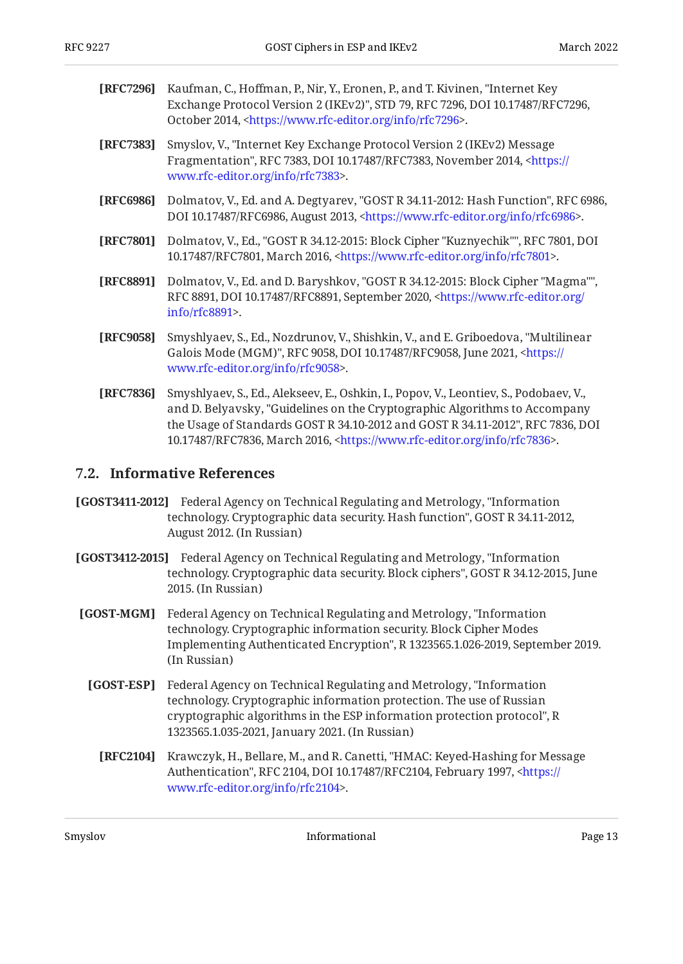- <span id="page-12-1"></span>**[RFC7296]** Kaufman, C., Hoffman, P., Nir, Y., Eronen, P., and T. Kivinen, "Internet Key Exchange Protocol Version 2 (IKEv2)", STD 79, RFC 7296, DOI 10.17487/RFC7296, October 2014, <https://www.rfc-editor.org/info/rfc7296>.
- <span id="page-12-12"></span>**[RFC7383]** , Smyslov, V. "Internet Key Exchange Protocol Version 2 (IKEv2) Message Fragmentation", RFC 7383, DOI 10.17487/RFC7383, November 2014, [<https://](https://www.rfc-editor.org/info/rfc7383) . [www.rfc-editor.org/info/rfc7383>](https://www.rfc-editor.org/info/rfc7383)
- <span id="page-12-11"></span>**[RFC6986]** Dolmatov, V., Ed. and A. Degtyarev, "GOST R 34.11-2012: Hash Function", RFC 6986, DOI 10.17487/RFC6986, August 2013, <https://www.rfc-editor.org/info/rfc6986>.
- <span id="page-12-4"></span>**[RFC7801]** Dolmatov, V., Ed., "GOST R 34.12-2015: Block Cipher "Kuznyechik"", RFC 7801, DOI 10.17487/RFC7801, March 2016, <https://www.rfc-editor.org/info/rfc7801>.
- <span id="page-12-5"></span>**[RFC8891]** Dolmatov, V., Ed. and D. Baryshkov, "GOST R 34.12-2015: Block Cipher "Magma"", RFC 8891, DOI 10.17487/RFC8891, September 2020, [<https://www.rfc-editor.org/](https://www.rfc-editor.org/info/rfc8891) . [info/rfc8891>](https://www.rfc-editor.org/info/rfc8891)
- <span id="page-12-7"></span>**[RFC9058]** Smyshlyaev, S., Ed., Nozdrunov, V., Shishkin, V., and E. Griboedova, "Multilinear Galois Mode (MGM)", RFC 9058, DOI 10.17487/RFC9058, June 2021, <[https://](https://www.rfc-editor.org/info/rfc9058) . [www.rfc-editor.org/info/rfc9058>](https://www.rfc-editor.org/info/rfc9058)
- <span id="page-12-8"></span>**[RFC7836]** Smyshlyaev, S., Ed., Alekseev, E., Oshkin, I., Popov, V., Leontiev, S., Podobaev, V., and D. Belyavsky, "Guidelines on the Cryptographic Algorithms to Accompany the Usage of Standards GOST R 34.10-2012 and GOST R 34.11-2012", RFC 7836, DOI 10.17487/RFC7836, March 2016, <https://www.rfc-editor.org/info/rfc7836>.

#### <span id="page-12-0"></span>**[7.2. Informative References](#page-12-0)**

- <span id="page-12-10"></span>**[GOST3411-2012]** , Federal Agency on Technical Regulating and Metrology "Information technology. Cryptographic data security. Hash function", GOST R 34.11-2012, August 2012. (In Russian)
- <span id="page-12-3"></span>**[GOST3412-2015]** , Federal Agency on Technical Regulating and Metrology "Information technology. Cryptographic data security. Block ciphers'', GOST R 34.12-2015, June 2015. (In Russian)
- <span id="page-12-9"></span><span id="page-12-6"></span><span id="page-12-2"></span>**[GOST-MGM]** Federal Agency on Technical Regulating and Metrology, "Information Implementing Authenticated Encryption", R 1323565.1.026-2019, September 2019. technology. Cryptographic information security. Block Cipher Modes (In Russian)
	- **[GOST-ESP]** Federal Agency on Technical Regulating and Metrology, "Information , cryptographic algorithms in the ESP information protection protocol" R 1323565.1.035-2021, January 2021. (In Russian) technology. Cryptographic information protection. The use of Russian
		- **[RFC2104]** Krawczyk, H., Bellare, M., and R. Canetti, "HMAC: Keyed-Hashing for Message Authentication", RFC 2104, DOI 10.17487/RFC2104, February 1997, <[https://](https://www.rfc-editor.org/info/rfc2104) . [www.rfc-editor.org/info/rfc2104>](https://www.rfc-editor.org/info/rfc2104)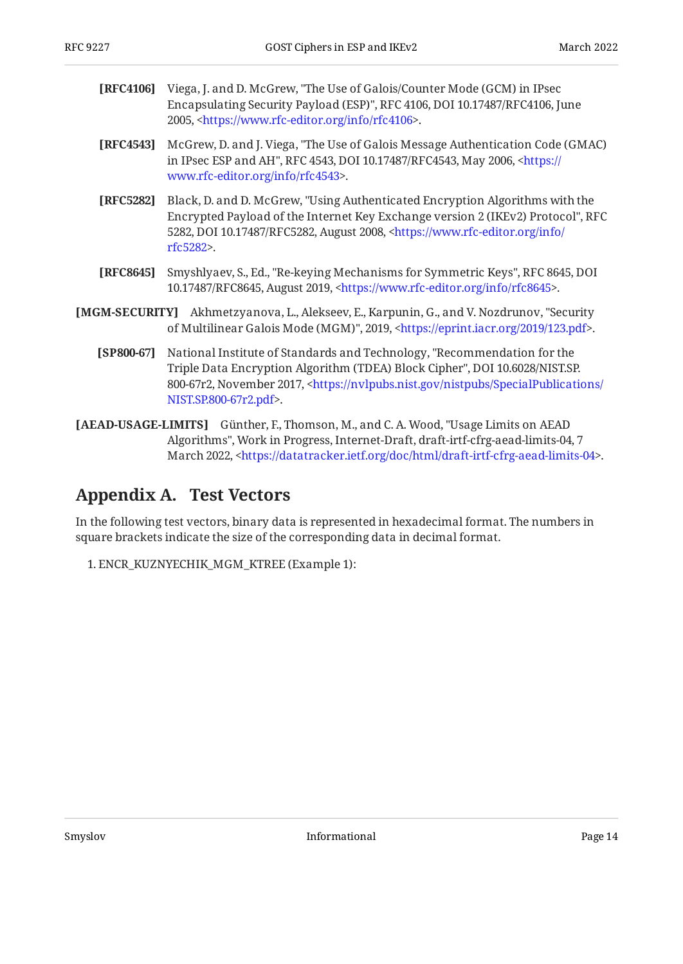<span id="page-13-2"></span>

| <b>[RFC4106]</b> Viega, J. and D. McGrew, "The Use of Galois/Counter Mode (GCM) in IPsec |
|------------------------------------------------------------------------------------------|
| Encapsulating Security Payload (ESP)", RFC 4106, DOI 10.17487/RFC4106, June              |
| 2005, <https: info="" rfc4106="" www.rfc-editor.org="">.</https:>                        |

- <span id="page-13-3"></span>**[RFC4543]** McGrew, D. and J. Viega, "The Use of Galois Message Authentication Code (GMAC) in IPsec ESP and AH", RFC 4543, DOI 10.17487/RFC4543, May 2006, [<https://](https://www.rfc-editor.org/info/rfc4543) . [www.rfc-editor.org/info/rfc4543>](https://www.rfc-editor.org/info/rfc4543)
- <span id="page-13-4"></span>**[RFC5282]** Black, D. and D. McGrew, "Using Authenticated Encryption Algorithms with the Encrypted Payload of the Internet Key Exchange version 2 (IKEv2) Protocol", RFC 5282, DOI 10.17487/RFC5282, August 2008, [<https://www.rfc-editor.org/info/](https://www.rfc-editor.org/info/rfc5282) . [rfc5282](https://www.rfc-editor.org/info/rfc5282)>
- <span id="page-13-1"></span>**[RFC8645]** Smyshlyaev, S., Ed., "Re-keying Mechanisms for Symmetric Keys", RFC 8645, DOI 10.17487/RFC8645, August 2019, <https://www.rfc-editor.org/info/rfc8645>.
- <span id="page-13-7"></span><span id="page-13-5"></span>**[MGM-SECURITY]** Akhmetzyanova, L., Alekseev, E., Karpunin, G., and V. Nozdrunov, "Security of Multilinear Galois Mode (MGM)", 2019, <https://eprint.iacr.org/2019/123.pdf>.
	- **[SP800-67]** , National Institute of Standards and Technology "Recommendation for the , Triple Data Encryption Algorithm (TDEA) Block Cipher" DOI 10.6028/NIST.SP. 800-67r2, November 2017, <[https://nvlpubs.nist.gov/nistpubs/SpecialPublications/](https://nvlpubs.nist.gov/nistpubs/SpecialPublications/NIST.SP.800-67r2.pdf) . [NIST.SP.800-67r2.pdf>](https://nvlpubs.nist.gov/nistpubs/SpecialPublications/NIST.SP.800-67r2.pdf)
- <span id="page-13-6"></span>**[AEAD-USAGE-LIMITS]** Günther, F., Thomson, M., and C. A. Wood, "Usage Limits on AEAD Algorithms", Work in Progress, Internet-Draft, draft-irtf-cfrg-aead-limits-04, 7 March 2022, <https://datatracker.ietf.org/doc/html/draft-irtf-cfrg-aead-limits-04>.

## <span id="page-13-0"></span>**[Appendix A. Test Vectors](#page-13-0)**

In the following test vectors, binary data is represented in hexadecimal format. The numbers in square brackets indicate the size of the corresponding data in decimal format.

1. ENCR\_KUZNYECHIK\_MGM\_KTREE (Example 1):

Smyslov **Informational Informational Page 14**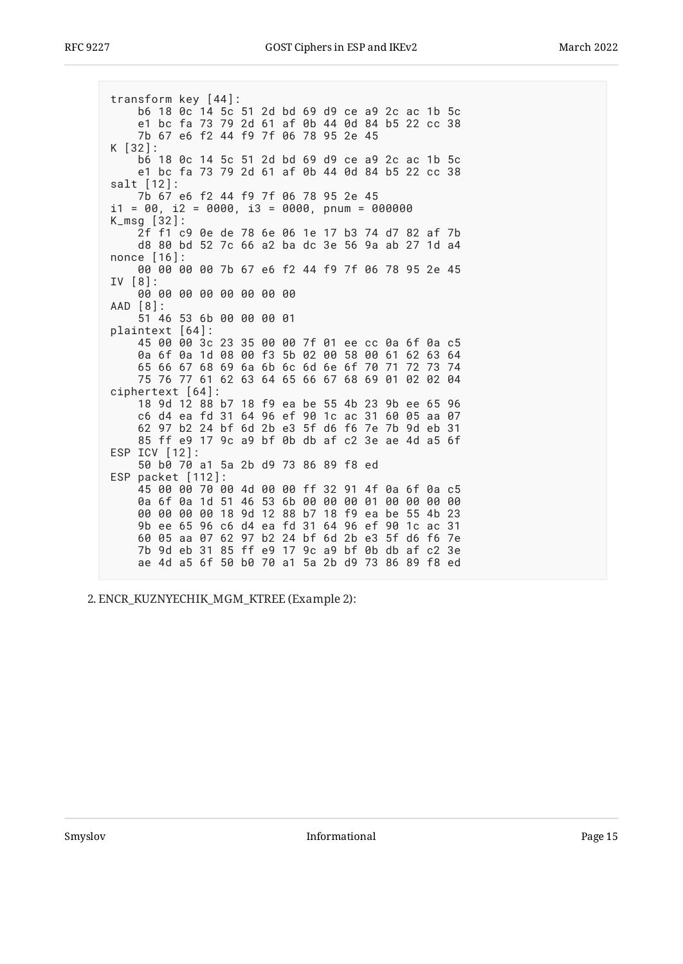transform key [44]: b6 18 0c 14 5c 51 2d bd 69 d9 ce a9 2c ac 1b 5c e1 bc fa 73 79 2d 61 af 0b 44 0d 84 b5 22 cc 38 7b 67 e6 f2 44 f9 7f 06 78 95 2e 45  $K$  [32]: b6 18 0c 14 5c 51 2d bd 69 d9 ce a9 2c ac 1b 5c e1 bc fa 73 79 2d 61 af 0b 44 0d 84 b5 22 cc 38  $salt [12]:$ 7b 67 e6 f2 44 f9 7f 06 78 95 2e 45  $i1 = 00$ ,  $i2 = 0000$ ,  $i3 = 0000$ , pnum = 000000  $K_{\text{msq}}$  [32]: 2f f1 c9 0e de 78 6e 06 1e 17 b3 74 d7 82 af 7b d8 80 bd 52 7c 66 a2 ba dc 3e 56 9a ab 27 1d a4 nonce [16]: 00 00 00 00 7b 67 e6 f2 44 f9 7f 06 78 95 2e 45  $IV [8]:$ 00 00 00 00 00 00 00 00 AAD [8]: 51 46 53 6b 00 00 00 01 plaintext [64]: 45 00 00 3c 23 35 00 00 7f 01 ee cc 0a 6f 0a c5 0a 6f 0a 1d 08 00 f3 5b 02 00 58 00 61 62 63 64 65 66 67 68 69 6a 6b 6c 6d 6e 6f 70 71 72 73 74 75 76 77 61 62 63 64 65 66 67 68 69 01 02 02 04 ciphertext [64]: 18 9d 12 88 b7 18 f9 ea be 55 4b 23 9b ee 65 96 c6 d4 ea fd 31 64 96 ef 90 1c ac 31 60 05 aa 07 62 97 b2 24 bf 6d 2b e3 5f d6 f6 7e 7b 9d eb 31 85 ff e9 17 9c a9 bf 0b db af c2 3e ae 4d a5 6f ESP  $ICV$   $[12]$ : 50 b0 70 a1 5a 2b d9 73 86 89 f8 ed ESP packet [112]: 45 00 00 70 00 4d 00 00 ff 32 91 4f 0a 6f 0a c5 0a 6f 0a 1d 51 46 53 6b 00 00 00 01 00 00 00 00 00 00 00 00 18 9d 12 88 b7 18 f9 ea be 55 4b 23 9b ee 65 96 c6 d4 ea fd 31 64 96 ef 90 1c ac 31 60 05 aa 07 62 97 b2 24 bf 6d 2b e3 5f d6 f6 7e 7b 9d eb 31 85 ff e9 17 9c a9 bf 0b db af c2 3e ae 4d a5 6f 50 b0 70 a1 5a 2b d9 73 86 89 f8 ed

2. ENCR\_KUZNYECHIK\_MGM\_KTREE (Example 2):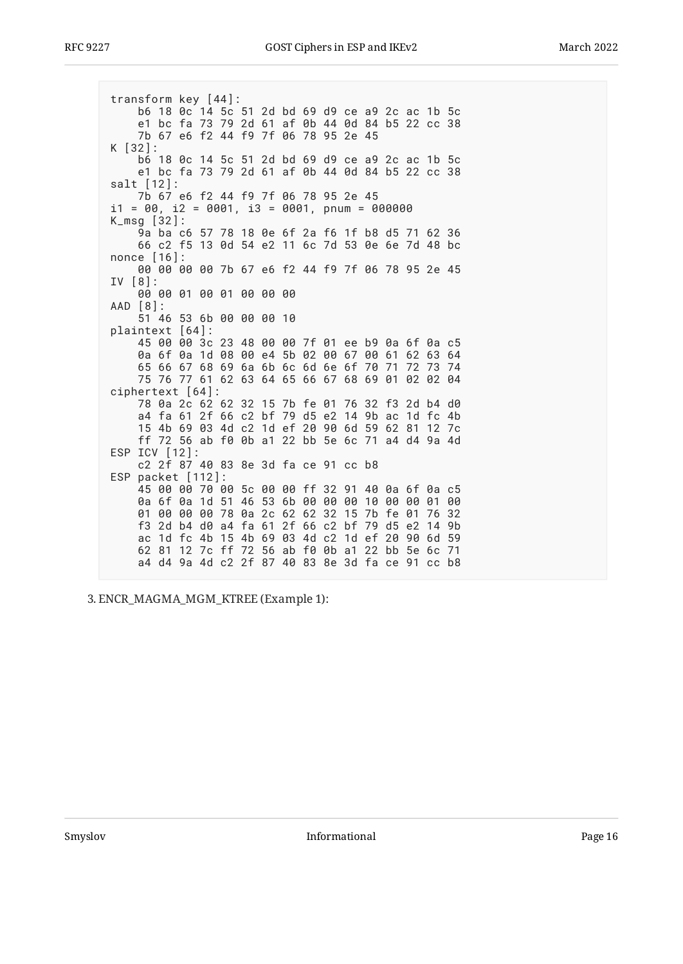transform key [44]: b6 18 0c 14 5c 51 2d bd 69 d9 ce a9 2c ac 1b 5c e1 bc fa 73 79 2d 61 af 0b 44 0d 84 b5 22 cc 38 7b 67 e6 f2 44 f9 7f 06 78 95 2e 45  $K$  [32]: b6 18 0c 14 5c 51 2d bd 69 d9 ce a9 2c ac 1b 5c e1 bc fa 73 79 2d 61 af 0b 44 0d 84 b5 22 cc 38  $salt [12]:$ 7b 67 e6 f2 44 f9 7f 06 78 95 2e 45  $i1 = 00$ ,  $i2 = 0001$ ,  $i3 = 0001$ , pnum = 000000  $K_{\text{msq}}$  [32]: 9a ba c6 57 78 18 0e 6f 2a f6 1f b8 d5 71 62 36 66 c2 f5 13 0d 54 e2 11 6c 7d 53 0e 6e 7d 48 bc nonce [16]: 00 00 00 00 7b 67 e6 f2 44 f9 7f 06 78 95 2e 45  $IV [8]:$ 00 00 01 00 01 00 00 00 AAD [8]: 51 46 53 6b 00 00 00 10 plaintext [64]: 45 00 00 3c 23 48 00 00 7f 01 ee b9 0a 6f 0a c5 0a 6f 0a 1d 08 00 e4 5b 02 00 67 00 61 62 63 64 65 66 67 68 69 6a 6b 6c 6d 6e 6f 70 71 72 73 74 75 76 77 61 62 63 64 65 66 67 68 69 01 02 02 04 ciphertext [64]: 78 0a 2c 62 62 32 15 7b fe 01 76 32 f3 2d b4 d0 a4 fa 61 2f 66 c2 bf 79 d5 e2 14 9b ac 1d fc 4b 15 4b 69 03 4d c2 1d ef 20 90 6d 59 62 81 12 7c ff 72 56 ab f0 0b a1 22 bb 5e 6c 71 a4 d4 9a 4d ESP ICV [12]: c2 2f 87 40 83 8e 3d fa ce 91 cc b8 ESP packet [112]: 45 00 00 70 00 5c 00 00 ff 32 91 40 0a 6f 0a c5 0a 6f 0a 1d 51 46 53 6b 00 00 00 10 00 00 01 00 01 00 00 00 78 0a 2c 62 62 32 15 7b fe 01 76 32 f3 2d b4 d0 a4 fa 61 2f 66 c2 bf 79 d5 e2 14 9b ac 1d fc 4b 15 4b 69 03 4d c2 1d ef 20 90 6d 59 62 81 12 7c ff 72 56 ab f0 0b a1 22 bb 5e 6c 71 a4 d4 9a 4d c2 2f 87 40 83 8e 3d fa ce 91 cc b8

3. ENCR\_MAGMA\_MGM\_KTREE (Example 1):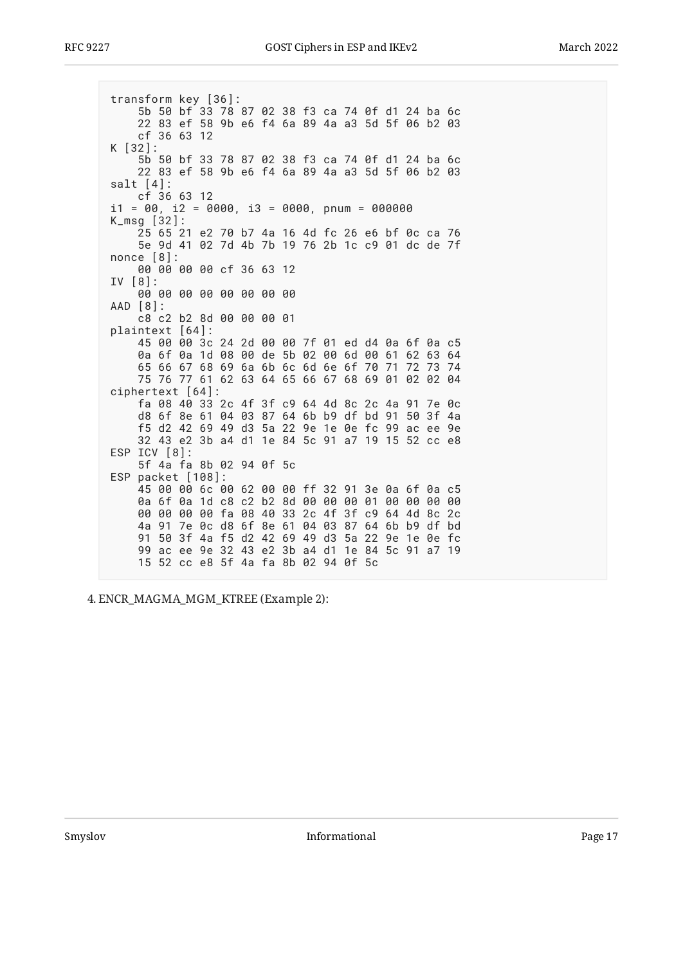transform key [36]: 5b 50 bf 33 78 87 02 38 f3 ca 74 0f d1 24 ba 6c 22 83 ef 58 9b e6 f4 6a 89 4a a3 5d 5f 06 b2 03  $cf$  36 63 12  $K$  [32]: 5b 50 bf 33 78 87 02 38 f3 ca 74 0f d1 24 ba 6c 22 83 ef 58 9b e6 f4 6a 89 4a a3 5d 5f 06 b2 03 salt  $[4]$ : cf 36 63 12  $i1 = 00$ ,  $i2 = 0000$ ,  $i3 = 0000$ , pnum = 000000  $K_{\text{msq}}$  [32]: 25 65 21 e2 70 b7 4a 16 4d fc 26 e6 bf 0c ca 76 5e 9d 41 02 7d 4b 7b 19 76 2b 1c c9 01 dc de 7f  $none [8]:$ 00 00 00 00 cf 36 63 12  $IV [8]:$ 00 00 00 00 00 00 00 00 AAD [8]: c8 c2 b2 8d 00 00 00 01 plaintext [64]: 45 00 00 3c 24 2d 00 00 7f 01 ed d4 0a 6f 0a c5 0a 6f 0a 1d 08 00 de 5b 02 00 6d 00 61 62 63 64 65 66 67 68 69 6a 6b 6c 6d 6e 6f 70 71 72 73 74 75 76 77 61 62 63 64 65 66 67 68 69 01 02 02 04 ciphertext [64]: fa 08 40 33 2c 4f 3f c9 64 4d 8c 2c 4a 91 7e 0c d8 6f 8e 61 04 03 87 64 6b b9 df bd 91 50 3f 4a f5 d2 42 69 49 d3 5a 22 9e 1e 0e fc 99 ac ee 9e 32 43 e2 3b a4 d1 1e 84 5c 91 a7 19 15 52 cc e8 ESP ICV [8]: 5f 4a fa 8b 02 94 0f 5c ESP packet [108]: 45 00 00 6c 00 62 00 00 ff 32 91 3e 0a 6f 0a c5 0a 6f 0a 1d c8 c2 b2 8d 00 00 00 01 00 00 00 00 00 00 00 00 fa 08 40 33 2c 4f 3f c9 64 4d 8c 2c 4a 91 7e 0c d8 6f 8e 61 04 03 87 64 6b b9 df bd 91 50 3f 4a f5 d2 42 69 49 d3 5a 22 9e 1e 0e fc 99 ac ee 9e 32 43 e2 3b a4 d1 1e 84 5c 91 a7 19 15 52 cc e8 5f 4a fa 8b 02 94 0f 5c

4. ENCR\_MAGMA\_MGM\_KTREE (Example 2):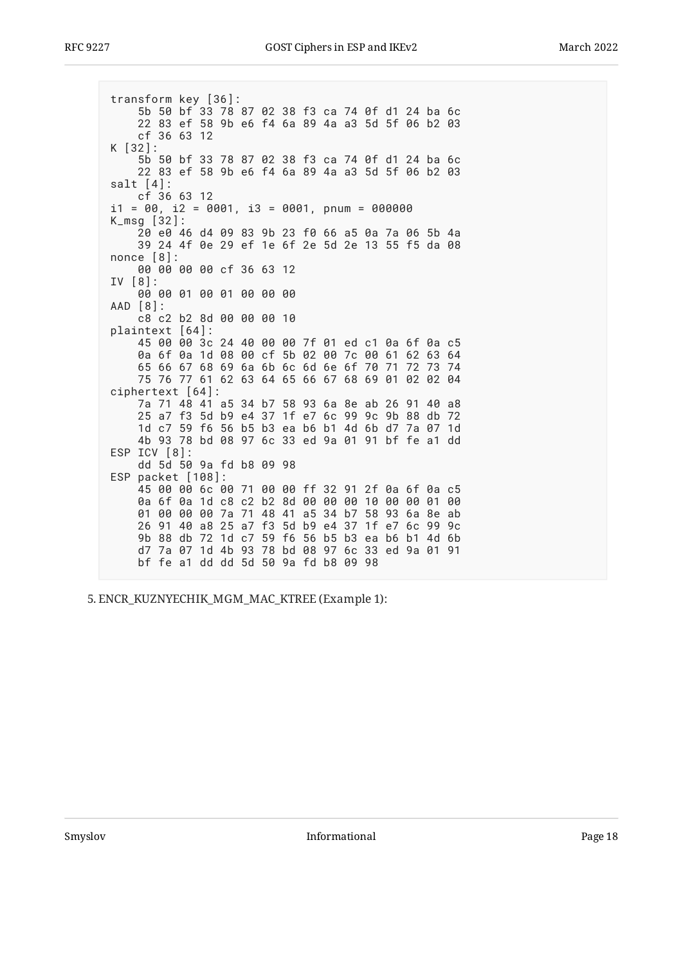transform key [36]: 5b 50 bf 33 78 87 02 38 f3 ca 74 0f d1 24 ba 6c 22 83 ef 58 9b e6 f4 6a 89 4a a3 5d 5f 06 b2 03  $cf$  36 63 12  $K$  [32]: 5b 50 bf 33 78 87 02 38 f3 ca 74 0f d1 24 ba 6c 22 83 ef 58 9b e6 f4 6a 89 4a a3 5d 5f 06 b2 03 salt  $[4]$ : cf 36 63 12  $i1 = 00$ ,  $i2 = 0001$ ,  $i3 = 0001$ , pnum = 000000  $K_{\text{msq}}$  [32]: 20 e0 46 d4 09 83 9b 23 f0 66 a5 0a 7a 06 5b 4a 39 24 4f 0e 29 ef 1e 6f 2e 5d 2e 13 55 f5 da 08 nonce  $[8]$ : 00 00 00 00 cf 36 63 12  $IV [8]:$ 00 00 01 00 01 00 00 00 AAD [8]: c8 c2 b2 8d 00 00 00 10 plaintext [64]: 45 00 00 3c 24 40 00 00 7f 01 ed c1 0a 6f 0a c5 0a 6f 0a 1d 08 00 cf 5b 02 00 7c 00 61 62 63 64 65 66 67 68 69 6a 6b 6c 6d 6e 6f 70 71 72 73 74 75 76 77 61 62 63 64 65 66 67 68 69 01 02 02 04 ciphertext [64]: 7a 71 48 41 a5 34 b7 58 93 6a 8e ab 26 91 40 a8 25 a7 f3 5d b9 e4 37 1f e7 6c 99 9c 9b 88 db 72 1d c7 59 f6 56 b5 b3 ea b6 b1 4d 6b d7 7a 07 1d 4b 93 78 bd 08 97 6c 33 ed 9a 01 91 bf fe a1 dd ESP ICV [8]: dd 5d 50 9a fd b8 09 98 ESP packet [108]: 45 00 00 6c 00 71 00 00 ff 32 91 2f 0a 6f 0a c5 0a 6f 0a 1d c8 c2 b2 8d 00 00 00 10 00 00 01 00 01 00 00 00 7a 71 48 41 a5 34 b7 58 93 6a 8e ab 26 91 40 a8 25 a7 f3 5d b9 e4 37 1f e7 6c 99 9c 9b 88 db 72 1d c7 59 f6 56 b5 b3 ea b6 b1 4d 6b d7 7a 07 1d 4b 93 78 bd 08 97 6c 33 ed 9a 01 91 bf fe a1 dd dd 5d 50 9a fd b8 09 98

5. ENCR\_KUZNYECHIK\_MGM\_MAC\_KTREE (Example 1):

Smyslov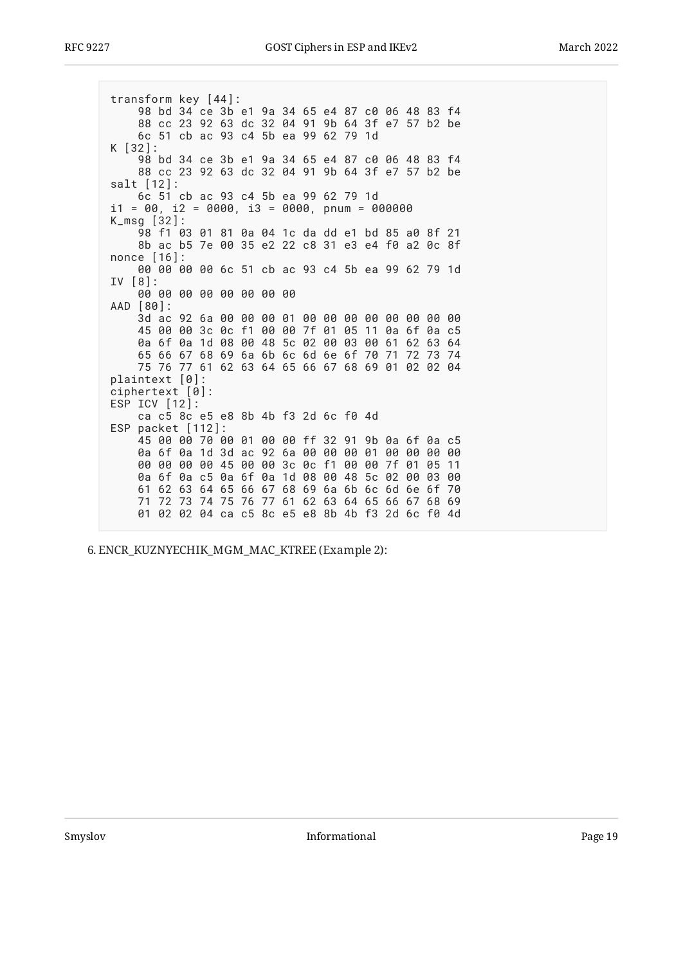transform key [44]: 98 bd 34 ce 3b e1 9a 34 65 e4 87 c0 06 48 83 f4 88 cc 23 92 63 dc 32 04 91 9b 64 3f e7 57 b2 be 6c 51 cb ac 93 c4 5b ea 99 62 79 1d K [32]: 98 bd 34 ce 3b e1 9a 34 65 e4 87 c0 06 48 83 f4 88 cc 23 92 63 dc 32 04 91 9b 64 3f e7 57 b2 be  $salt [12]:$ 6c 51 cb ac 93 c4 5b ea 99 62 79 1d  $i1 = 00$ ,  $i2 = 0000$ ,  $i3 = 0000$ , pnum = 000000  $K_{\text{msq}}$  [32]: 98 f1 03 01 81 0a 04 1c da dd e1 bd 85 a0 8f 21 8b ac b5 7e 00 35 e2 22 c8 31 e3 e4 f0 a2 0c 8f nonce [16]: 00 00 00 00 6c 51 cb ac 93 c4 5b ea 99 62 79 1d  $IV [8]:$ 00 00 00 00 00 00 00 00 AAD [80]: 3d ac 92 6a 00 00 00 01 00 00 00 00 00 00 00 00 45 00 00 3c 0c f1 00 00 7f 01 05 11 0a 6f 0a c5 0a 6f 0a 1d 08 00 48 5c 02 00 03 00 61 62 63 64 65 66 67 68 69 6a 6b 6c 6d 6e 6f 70 71 72 73 74 75 76 77 61 62 63 64 65 66 67 68 69 01 02 02 04 plaintext [0]: ciphertext  $[0]$ : ESP ICV [12]: ca c5 8c e5 e8 8b 4b f3 2d 6c f0 4d ESP packet [112]: 45 00 00 70 00 01 00 00 ff 32 91 9b 0a 6f 0a c5 0a 6f 0a 1d 3d ac 92 6a 00 00 00 01 00 00 00 00 00 00 00 00 45 00 00 3c 0c f1 00 00 7f 01 05 11 0a 6f 0a c5 0a 6f 0a 1d 08 00 48 5c 02 00 03 00 61 62 63 64 65 66 67 68 69 6a 6b 6c 6d 6e 6f 70 71 72 73 74 75 76 77 61 62 63 64 65 66 67 68 69 01 02 02 04 ca c5 8c e5 e8 8b 4b f3 2d 6c f0 4d

6. ENCR\_KUZNYECHIK\_MGM\_MAC\_KTREE (Example 2):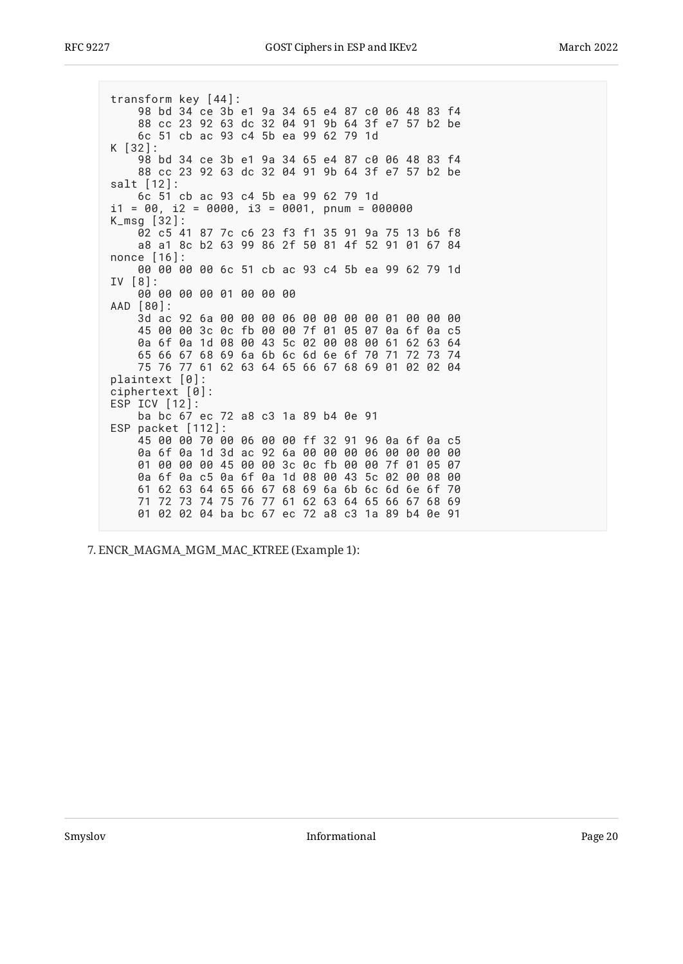transform key [44]: 98 bd 34 ce 3b e1 9a 34 65 e4 87 c0 06 48 83 f4 88 cc 23 92 63 dc 32 04 91 9b 64 3f e7 57 b2 be 6c 51 cb ac 93 c4 5b ea 99 62 79 1d K [32]: 98 bd 34 ce 3b e1 9a 34 65 e4 87 c0 06 48 83 f4 88 cc 23 92 63 dc 32 04 91 9b 64 3f e7 57 b2 be salt [12]: 6c 51 cb ac 93 c4 5b ea 99 62 79 1d  $i1 = 00$ ,  $i2 = 0000$ ,  $i3 = 0001$ , pnum = 000000 K\_msg [32]: 02 c5 41 87 7c c6 23 f3 f1 35 91 9a 75 13 b6 f8 a8 a1 8c b2 63 99 86 2f 50 81 4f 52 91 01 67 84 nonce [16]: 00 00 00 00 6c 51 cb ac 93 c4 5b ea 99 62 79 1d IV [8]: 00 00 00 00 01 00 00 00 AAD [80]: 3d ac 92 6a 00 00 00 06 00 00 00 00 01 00 00 00 45 00 00 3c 0c fb 00 00 7f 01 05 07 0a 6f 0a c5 0a 6f 0a 1d 08 00 43 5c 02 00 08 00 61 62 63 64 65 66 67 68 69 6a 6b 6c 6d 6e 6f 70 71 72 73 74 75 76 77 61 62 63 64 65 66 67 68 69 01 02 02 04 plaintext [0]: ciphertext [0]: ESP ICV [12]: ba bc 67 ec 72 a8 c3 1a 89 b4 0e 91 ESP packet [112]: 45 00 00 70 00 06 00 00 ff 32 91 96 0a 6f 0a c5 0a 6f 0a 1d 3d ac 92 6a 00 00 00 06 00 00 00 00 01 00 00 00 45 00 00 3c 0c fb 00 00 7f 01 05 07 0a 6f 0a c5 0a 6f 0a 1d 08 00 43 5c 02 00 08 00 61 62 63 64 65 66 67 68 69 6a 6b 6c 6d 6e 6f 70 71 72 73 74 75 76 77 61 62 63 64 65 66 67 68 69 01 02 02 04 ba bc 67 ec 72 a8 c3 1a 89 b4 0e 91

ENCR\_MAGMA\_MGM\_MAC\_KTREE (Example 1): 7.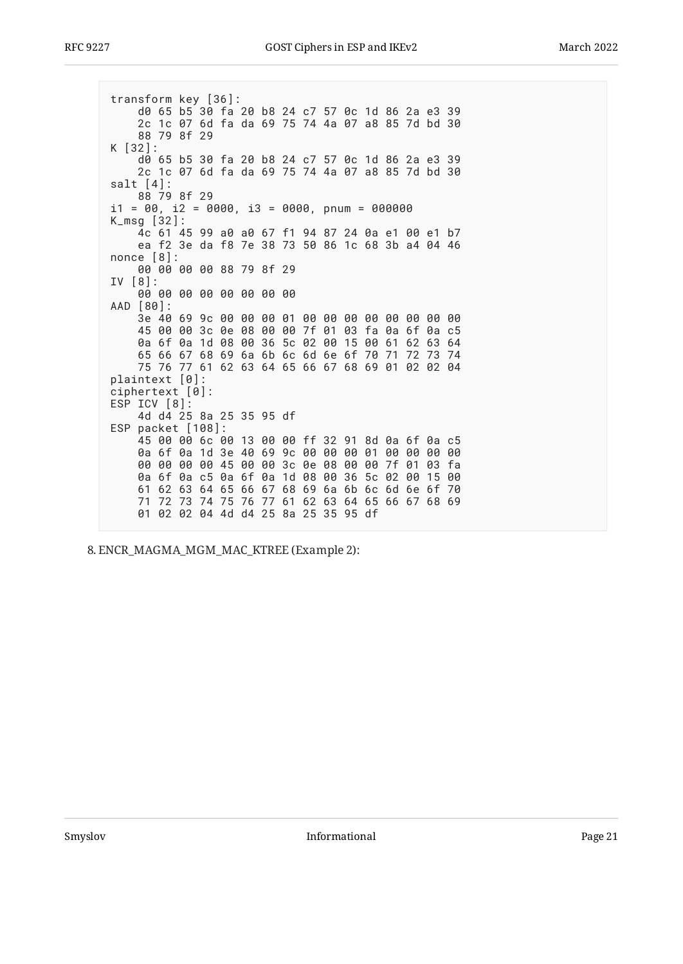transform key [36]: d0 65 b5 30 fa 20 b8 24 c7 57 0c 1d 86 2a e3 39 2c 1c 07 6d fa da 69 75 74 4a 07 a8 85 7d bd 30 88 79 8f 29 K [32]: d0 65 b5 30 fa 20 b8 24 c7 57 0c 1d 86 2a e3 39 2c 1c 07 6d fa da 69 75 74 4a 07 a8 85 7d bd 30 salt  $[4]$ : 88 79 8f 29  $i1 = 00$ ,  $i2 = 0000$ ,  $i3 = 0000$ , pnum = 000000  $K_{\text{msq}}$  [32]: 4c 61 45 99 a0 a0 67 f1 94 87 24 0a e1 00 e1 b7 ea f2 3e da f8 7e 38 73 50 86 1c 68 3b a4 04 46 nonce  $[8]$ : 00 00 00 00 88 79 8f 29  $IV [8]:$ 00 00 00 00 00 00 00 00 AAD [80]: 3e 40 69 9c 00 00 00 01 00 00 00 00 00 00 00 00 45 00 00 3c 0e 08 00 00 7f 01 03 fa 0a 6f 0a c5 0a 6f 0a 1d 08 00 36 5c 02 00 15 00 61 62 63 64 65 66 67 68 69 6a 6b 6c 6d 6e 6f 70 71 72 73 74 75 76 77 61 62 63 64 65 66 67 68 69 01 02 02 04 plaintext [0]:  $ciphertext [0]:$ ESP ICV [8]: 4d d4 25 8a 25 35 95 df ESP packet [108]: 45 00 00 6c 00 13 00 00 ff 32 91 8d 0a 6f 0a c5 0a 6f 0a 1d 3e 40 69 9c 00 00 00 01 00 00 00 00 00 00 00 00 45 00 00 3c 0e 08 00 00 7f 01 03 fa 0a 6f 0a c5 0a 6f 0a 1d 08 00 36 5c 02 00 15 00 61 62 63 64 65 66 67 68 69 6a 6b 6c 6d 6e 6f 70 71 72 73 74 75 76 77 61 62 63 64 65 66 67 68 69 01 02 02 04 4d d4 25 8a 25 35 95 df

8. ENCR\_MAGMA\_MGM\_MAC\_KTREE (Example 2):